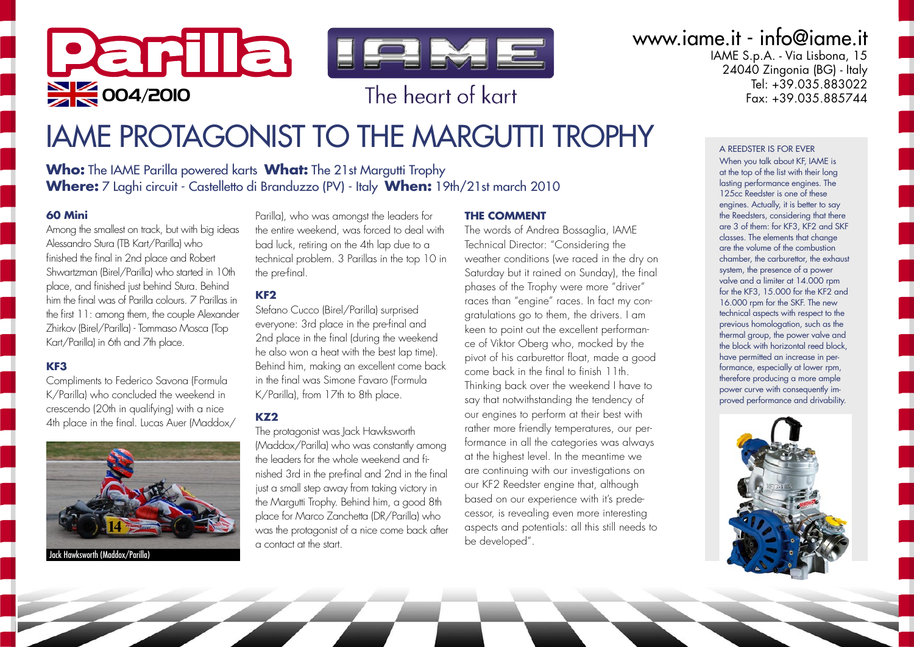# Parila lewe  $\sum$  004/2010 **b** The heart of kart

## www.iame.it - info@iame.it

IAME S.p.A. - Via Lisbona, 15  $24040$  Zingonia (BG) - Italy Tel: +39.035.883022<br>Eax: +39.035.885744

## IAME PROTAGONIST TO THE MARGUTTI TROPHY

**Who:** The IAME Parilla powered karts **What:** The 21st Margutti Trophy **Where:** 7 Laghi circuit - Castelletto di Branduzzo (PV) - Italy **When:** 19th/21st march 2010

#### **60 Mini**

Among the smallest on track, but with big ideas Alessandro Stura (TB Kart/Parilla) who finished the final in 2nd place and Robert Shwartzman (Birel/Parilla) who started in 10th place, and finished just behind Stura. Behind him the final was of Parilla colours. 7 Parillas in the first 11: among them, the couple Alexander Zhirkov (Birel/Parilla) - Tommaso Mosca (Top Kart/Parilla) in 6th and 7th place.

#### **KF3**

Compliments to Federico Savona (Formula K/Parilla) who concluded the weekend in crescendo (20th in qualifying) with a nice 4th place in the final. Lucas Auer (Maddox/



Parilla), who was amongst the leaders for the entire weekend, was forced to deal with bad luck, retiring on the 4th lap due to a technical problem. 3 Parillas in the top 10 in the pre-final.

#### **KF2**

Stefano Cucco (Birel/Parilla) surprised everyone: 3rd place in the pre-final and 2nd place in the final (during the weekend he also won a heat with the best lap time). Behind him, making an excellent come back in the final was Simone Favaro (Formula K/Parilla), from 17th to 8th place.

#### **KZ2**

The protagonist was Jack Hawksworth (Maddox/Parilla) who was constantly among the leaders for the whole weekend and finished 3rd in the pre-final and 2nd in the final just a small step away from taking victory in the Margutti Trophy. Behind him, a good 8th place for Marco Zanchetta (DR/Parilla) who was the protagonist of a nice come back after a contact at the start.

#### **THE COMMENT**

The words of Andrea Bossaglia, IAME Technical Director: "Considering the weather conditions (we raced in the dry on Saturday but it rained on Sunday), the final phases of the Trophy were more "driver" races than "engine" races. In fact my congratulations go to them, the drivers. I am keen to point out the excellent performance of Viktor Oberg who, mocked by the pivot of his carburettor float, made a good come back in the final to finish 11th. Thinking back over the weekend I have to say that notwithstanding the tendency of our engines to perform at their best with rather more friendly temperatures, our performance in all the categories was always at the highest level. In the meantime we are continuing with our investigations on our KF2 Reedster engine that, although based on our experience with it's predecessor, is revealing even more interesting aspects and potentials: all this still needs to be developed".

#### A REEDSTER IS FOR EVER

When you talk about KF, IAME is at the top of the list with their long lasting performance engines. The 125<sub>cc</sub> Reedster is one of these engines. Actually, it is better to say the Reedsters, considering that there are 3 of them: for KF3, KF2 and SKF classes. The elements that change are the volume of the combustion chamber, the carburettor, the exhaust system, the presence of a power valve and a limiter at 14.000 rpm for the KF3, 15.000 for the KF2 and 16.000 rpm for the SKF. The new technical aspects with respect to the previous homologation, such as the thermal group, the power valve and the block with horizontal reed block, have permitted an increase in performance, especially at lower rpm, therefore producing a more ample power curve with consequently improved performance and drivability.

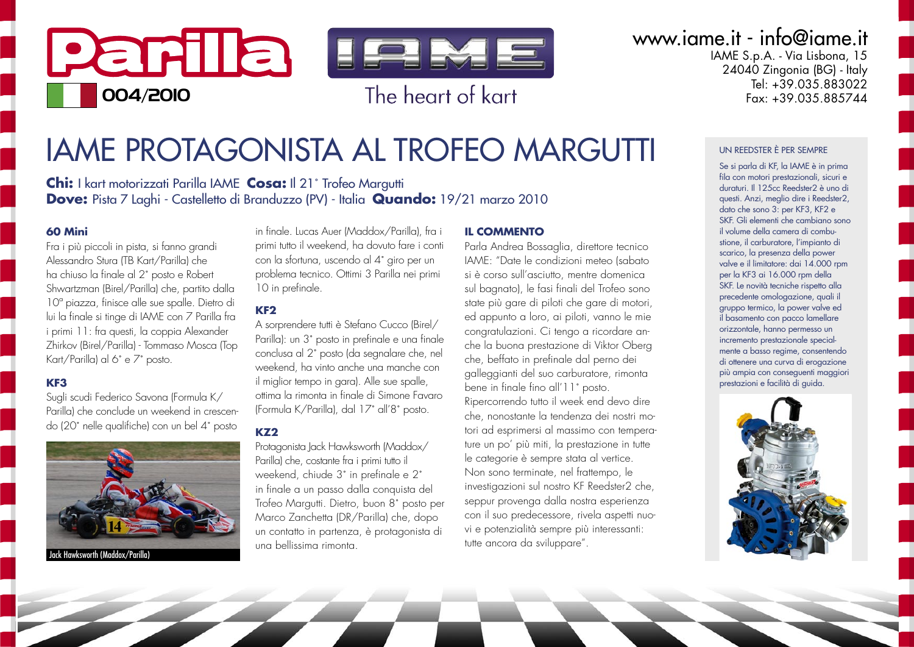

### www.iame.it - info@iame.it

IAME S.p.A. - Via Lisbona, 15 24040 Zingonia (BG) - Italy Tel: +39.035.883022  $F_{\alpha x}$  +39 035 885744

## **IAME PROTAGONISTA AL TROFEO MARGUTTI**

**Chi:** I kart motorizzati Parilla IAME Cosa: Il 21<sup>°</sup> Trofeo Margutti Dove: Pista 7 Laghi - Castelletto di Branduzzo (PV) - Italia Quando: 19/21 marzo 2010

#### 60 Mini

Fra i più piccoli in pista, si fanno grandi Alessandro Stura (TB Kart/Parilla) che ha chiuso la finale al 2° posto e Robert Shwartzman (Birel/Parilla) che, partito dalla 10<sup>°</sup> piazza, finisce alle sue spalle. Dietro di lui la finale si tinge di IAME con 7 Parilla fra i primi 11: fra questi, la coppia Alexander Zhirkov (Birel/Parilla) - Tommaso Mosca (Top Kart/Parilla) al 6° e 7° posto.

#### KF<sub>3</sub>

Suali scudi Federico Savona (Formula K/ Parilla) che conclude un weekend in crescendo (20° nelle qualifiche) con un bel 4° posto



in finale, Lucas Auer (Maddox/Parilla), fra i primi tutto il weekend, ha dovuto fare i conti con la sfortuna, uscendo al 4° airo per un problema tecnico. Ottimi 3 Parilla nei primi 10 in prefinale.

#### KF<sub>2</sub>

A sorprendere tutti è Stefano Cucco (Birel/ Parilla): un 3° posto in prefinale e una finale conclusa al 2° posto (da segnalare che, nel weekend, ha vinto anche una manche con il miglior tempo in gara). Alle sue spalle, ottima la rimonta in finale di Simone Favaro (Formula K/Parilla), dal 17° all'8° posto.

#### $KZ2$

Protagonista Jack Hawksworth (Maddox/ Parilla) che, costante fra i primi tutto il weekend, chiude 3° in prefinale e 2° in finale a un passo dalla conquista del Trofeo Margutti. Dietro, buon 8° posto per Marco Zanchetta (DR/Parilla) che, dopo un contatto in partenza, è protagonista di una hellissima rimonta

#### **IL COMMENTO**

Parla Andrea Bossaglia, direttore tecnico IAME: "Date le condizioni meteo Isabato si è corso sull'asciutto, mentre domenica sul bagnato), le fasi finali del Trofeo sono state più gare di piloti che gare di motori, ed appunto a loro, ai piloti, vanno le mie congratulazioni. Ci tengo a ricordare anche la buona prestazione di Viktor Oberg che, beffato in prefinale dal perno dei galleggianti del suo carburatore, rimonta bene in finale fino all'11° posto. Ripercorrendo tutto il week end devo dire che, nonostante la tendenza dei nostri motori ad esprimersi al massimo con temperature un po' più miti, la prestazione in tutte le categorie è sempre stata al vertice. Non sono terminate, nel frattempo, le investigazioni sul nostro KF Reedster2 che, seppur provenga dalla nostra esperienza con il suo predecessore, rivela aspetti nuovi e potenzialità sempre più interessanti: tutte ancora da sviluppare".

#### UN REEDSTER È PER SEMPRE

Se si parla di KF, la IAME è in prima fila con motori prestazionali, sicuri e duraturi Il 125cc Reedster2 è uno di questi. Anzi, meglio dire i Reedster2, dato che sono 3: per KF3, KF2 e SKE Gli elementi che cambiano sono il volume della camera di combustione, il carburatore, l'impianto di scarico, la presenza della power valve e il limitatore: dai 14.000 rpm per la KF3 ai 16.000 rpm della SKF. Le novità tecniche rispetto alla precedente omologazione, quali il gruppo termico, la power valve ed il basamento con pacco lamellare orizzontale, hanno permesso un incremento prestazionale specialmente a basso reaime, consentendo di ottenere una curva di erogazione più ampia con consequenti maggiori prestazioni e facilità di avida.